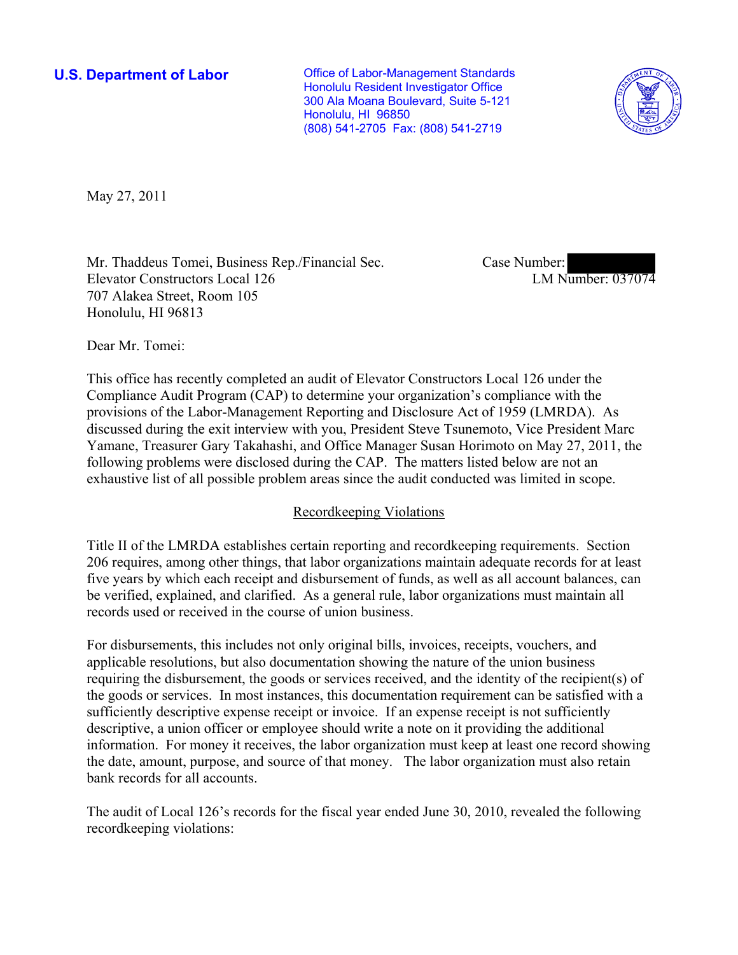**U.S. Department of Labor Conservative Conservative Conservative Conservative Conservative Conservative Conservative Conservative Conservative Conservative Conservative Conservative Conservative Conservative Conservative** Honolulu Resident Investigator Office 300 Ala Moana Boulevard, Suite 5-121 Honolulu, HI 96850 (808) 541-2705 Fax: (808) 541-2719



May 27, 2011

Mr. Thaddeus Tomei, Business Rep./Financial Sec. Elevator Constructors Local 126 707 Alakea Street, Room 105 Honolulu, HI 96813

Case Number: LM Number: 037074

Dear Mr. Tomei:

This office has recently completed an audit of Elevator Constructors Local 126 under the Compliance Audit Program (CAP) to determine your organization's compliance with the provisions of the Labor-Management Reporting and Disclosure Act of 1959 (LMRDA). As discussed during the exit interview with you, President Steve Tsunemoto, Vice President Marc Yamane, Treasurer Gary Takahashi, and Office Manager Susan Horimoto on May 27, 2011, the following problems were disclosed during the CAP. The matters listed below are not an exhaustive list of all possible problem areas since the audit conducted was limited in scope.

# Recordkeeping Violations

Title II of the LMRDA establishes certain reporting and recordkeeping requirements. Section 206 requires, among other things, that labor organizations maintain adequate records for at least five years by which each receipt and disbursement of funds, as well as all account balances, can be verified, explained, and clarified. As a general rule, labor organizations must maintain all records used or received in the course of union business.

For disbursements, this includes not only original bills, invoices, receipts, vouchers, and applicable resolutions, but also documentation showing the nature of the union business requiring the disbursement, the goods or services received, and the identity of the recipient(s) of the goods or services. In most instances, this documentation requirement can be satisfied with a sufficiently descriptive expense receipt or invoice. If an expense receipt is not sufficiently descriptive, a union officer or employee should write a note on it providing the additional information. For money it receives, the labor organization must keep at least one record showing the date, amount, purpose, and source of that money. The labor organization must also retain bank records for all accounts.

The audit of Local 126's records for the fiscal year ended June 30, 2010, revealed the following recordkeeping violations: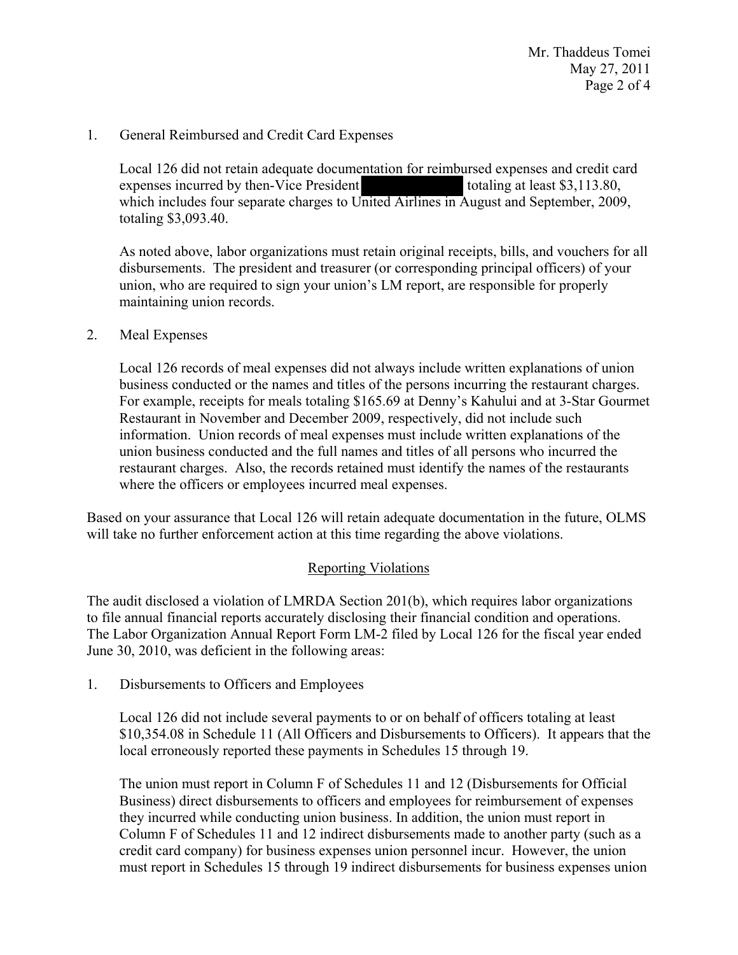Mr. Thaddeus Tomei May 27, 2011 Page 2 of 4

# 1. General Reimbursed and Credit Card Expenses

Local 126 did not retain adequate documentation for reimbursed expenses and credit card expenses incurred by then-Vice President totaling at least \$3,113.80, which includes four separate charges to United Airlines in August and September, 2009, totaling \$3,093.40.

As noted above, labor organizations must retain original receipts, bills, and vouchers for all disbursements. The president and treasurer (or corresponding principal officers) of your union, who are required to sign your union's LM report, are responsible for properly maintaining union records.

## 2. Meal Expenses

Local 126 records of meal expenses did not always include written explanations of union business conducted or the names and titles of the persons incurring the restaurant charges. For example, receipts for meals totaling \$165.69 at Denny's Kahului and at 3-Star Gourmet Restaurant in November and December 2009, respectively, did not include such information. Union records of meal expenses must include written explanations of the union business conducted and the full names and titles of all persons who incurred the restaurant charges. Also, the records retained must identify the names of the restaurants where the officers or employees incurred meal expenses.

Based on your assurance that Local 126 will retain adequate documentation in the future, OLMS will take no further enforcement action at this time regarding the above violations.

## Reporting Violations

The audit disclosed a violation of LMRDA Section 201(b), which requires labor organizations to file annual financial reports accurately disclosing their financial condition and operations. The Labor Organization Annual Report Form LM-2 filed by Local 126 for the fiscal year ended June 30, 2010, was deficient in the following areas:

1. Disbursements to Officers and Employees

Local 126 did not include several payments to or on behalf of officers totaling at least \$10,354.08 in Schedule 11 (All Officers and Disbursements to Officers). It appears that the local erroneously reported these payments in Schedules 15 through 19.

The union must report in Column F of Schedules 11 and 12 (Disbursements for Official Business) direct disbursements to officers and employees for reimbursement of expenses they incurred while conducting union business. In addition, the union must report in Column F of Schedules 11 and 12 indirect disbursements made to another party (such as a credit card company) for business expenses union personnel incur. However, the union must report in Schedules 15 through 19 indirect disbursements for business expenses union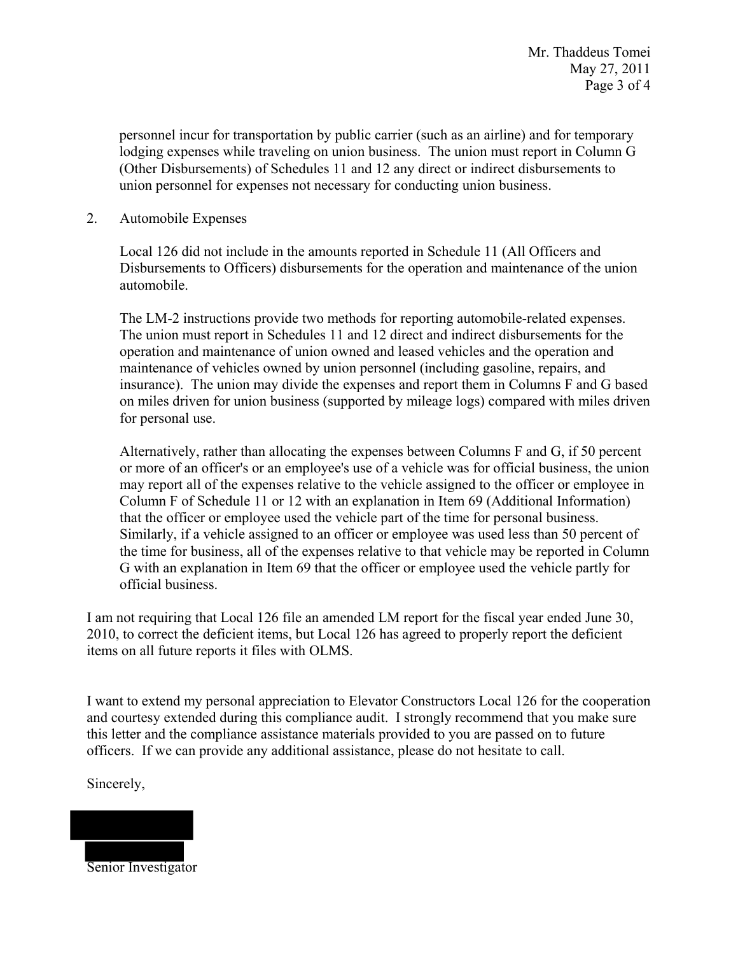personnel incur for transportation by public carrier (such as an airline) and for temporary lodging expenses while traveling on union business. The union must report in Column G (Other Disbursements) of Schedules 11 and 12 any direct or indirect disbursements to union personnel for expenses not necessary for conducting union business.

2. Automobile Expenses

Local 126 did not include in the amounts reported in Schedule 11 (All Officers and Disbursements to Officers) disbursements for the operation and maintenance of the union automobile.

The LM-2 instructions provide two methods for reporting automobile-related expenses. The union must report in Schedules 11 and 12 direct and indirect disbursements for the operation and maintenance of union owned and leased vehicles and the operation and maintenance of vehicles owned by union personnel (including gasoline, repairs, and insurance). The union may divide the expenses and report them in Columns F and G based on miles driven for union business (supported by mileage logs) compared with miles driven for personal use.

Alternatively, rather than allocating the expenses between Columns F and G, if 50 percent or more of an officer's or an employee's use of a vehicle was for official business, the union may report all of the expenses relative to the vehicle assigned to the officer or employee in Column F of Schedule 11 or 12 with an explanation in Item 69 (Additional Information) that the officer or employee used the vehicle part of the time for personal business. Similarly, if a vehicle assigned to an officer or employee was used less than 50 percent of the time for business, all of the expenses relative to that vehicle may be reported in Column G with an explanation in Item 69 that the officer or employee used the vehicle partly for official business.

I am not requiring that Local 126 file an amended LM report for the fiscal year ended June 30, 2010, to correct the deficient items, but Local 126 has agreed to properly report the deficient items on all future reports it files with OLMS.

I want to extend my personal appreciation to Elevator Constructors Local 126 for the cooperation and courtesy extended during this compliance audit. I strongly recommend that you make sure this letter and the compliance assistance materials provided to you are passed on to future officers. If we can provide any additional assistance, please do not hesitate to call.

Sincerely,